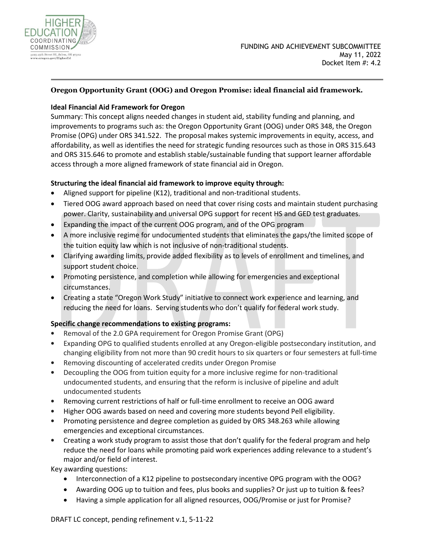

# **Oregon Opportunity Grant (OOG) and Oregon Promise: ideal financial aid framework.**

# **Ideal Financial Aid Framework for Oregon**

Summary: This concept aligns needed changes in student aid, stability funding and planning, and improvements to programs such as: the Oregon Opportunity Grant (OOG) under ORS 348, the Oregon Promise (OPG) under ORS 341.522. The proposal makes systemic improvements in equity, access, and affordability, as well as identifies the need for strategic funding resources such as those in ORS 315.643 and ORS 315.646 to promote and establish stable/sustainable funding that support learner affordable access through a more aligned framework of state financial aid in Oregon.

# **Structuring the ideal financial aid framework to improve equity through:**

- Aligned support for pipeline (K12), traditional and non-traditional students.
- Tiered OOG award approach based on need that cover rising costs and maintain student purchasing power. Clarity, sustainability and universal OPG support for recent HS and GED test graduates.
- Expanding the impact of the current OOG program, and of the OPG program
- A more inclusive regime for undocumented students that eliminates the gaps/the limited scope of the tuition equity law which is not inclusive of non-traditional students.
- Clarifying awarding limits, provide added flexibility as to levels of enrollment and timelines, and support student choice.
- Promoting persistence, and completion while allowing for emergencies and exceptional circumstances.
- Creating a state "Oregon Work Study" initiative to connect work experience and learning, and reducing the need for loans. Serving students who don't qualify for federal work study.

## **Specific change recommendations to existing programs:**

- Removal of the 2.0 GPA requirement for Oregon Promise Grant (OPG)
- Expanding OPG to qualified students enrolled at any Oregon-eligible postsecondary institution, and changing eligibility from not more than 90 credit hours to six quarters or four semesters at full-time
- Removing discounting of accelerated credits under Oregon Promise
- Decoupling the OOG from tuition equity for a more inclusive regime for non-traditional undocumented students, and ensuring that the reform is inclusive of pipeline and adult undocumented students
- Removing current restrictions of half or full-time enrollment to receive an OOG award
- Higher OOG awards based on need and covering more students beyond Pell eligibility.
- Promoting persistence and degree completion as guided by ORS 348.263 while allowing emergencies and exceptional circumstances.
- Creating a work study program to assist those that don't qualify for the federal program and help reduce the need for loans while promoting paid work experiences adding relevance to a student's major and/or field of interest.

Key awarding questions:

- Interconnection of a K12 pipeline to postsecondary incentive OPG program with the OOG?
- Awarding OOG up to tuition and fees, plus books and supplies? Or just up to tuition & fees?
- Having a simple application for all aligned resources, OOG/Promise or just for Promise?

DRAFT LC concept, pending refinement v.1, 5-11-22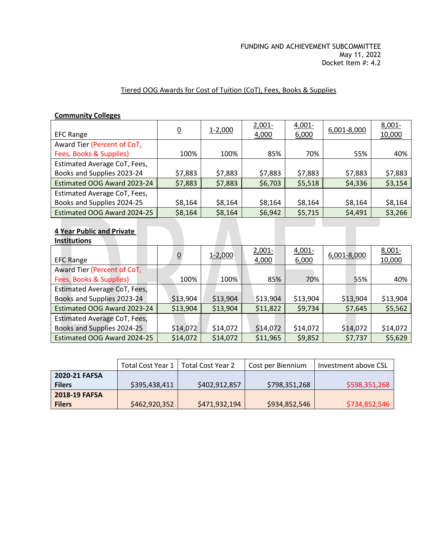#### FUNDING AND ACHIEVEMENT SUBCOMMITTEE May 11, 2022 Docket Item #: 4.2

# Tiered OOG Awards for Cost of Tuition (CoT), Fees, Books & Supplies

# **Community Colleges**

| <b>EFC Range</b>             | $\overline{0}$ | $1 - 2,000$ | $2,001 -$<br>4,000 | $4,001 -$<br>6,000 | 6,001-8,000 | $8,001 -$<br>10,000 |
|------------------------------|----------------|-------------|--------------------|--------------------|-------------|---------------------|
| Award Tier (Percent of CoT,  |                |             |                    |                    |             |                     |
| Fees, Books & Supplies)      | 100%           | 100%        | 85%                | 70%                | 55%         | 40%                 |
| Estimated Average CoT, Fees, |                |             |                    |                    |             |                     |
| Books and Supplies 2023-24   | \$7,883        | \$7,883     | \$7,883            | \$7,883            | \$7,883     | \$7,883             |
| Estimated OOG Award 2023-24  | \$7,883        | \$7,883     | \$6,703            | \$5,518            | \$4,336     | \$3,154             |
| Estimated Average CoT, Fees, |                |             |                    |                    |             |                     |
| Books and Supplies 2024-25   | \$8,164        | \$8,164     | \$8,164            | \$8,164            | \$8,164     | \$8,164             |
| Estimated OOG Award 2024-25  | \$8,164        | \$8,164     | \$6,942            | \$5,715            | \$4,491     | \$3,266             |

# **4 Year Public and Private Institutions**

| <b>EFC Range</b>                    | $\underline{0}$ | $1 - 2,000$ | $2,001 -$<br>4,000 | $4,001 -$<br>6,000 | 6,001-8,000 | $8,001 -$<br>10,000 |
|-------------------------------------|-----------------|-------------|--------------------|--------------------|-------------|---------------------|
| Award Tier (Percent of CoT,         |                 |             |                    |                    |             |                     |
| Fees, Books & Supplies)             | 100%            | 100%        | 85%                | 70%                | 55%         | 40%                 |
| <b>Estimated Average CoT, Fees,</b> |                 |             |                    |                    |             |                     |
| Books and Supplies 2023-24          | \$13,904        | \$13,904    | \$13,904           | \$13,904           | \$13,904    | \$13,904            |
| Estimated OOG Award 2023-24         | \$13,904        | \$13,904    | \$11,822           | \$9,734            | \$7,645     | \$5,562             |
| Estimated Average CoT, Fees,        |                 |             |                    |                    |             |                     |
| Books and Supplies 2024-25          | \$14,072        | \$14,072    | \$14,072           | \$14,072           | \$14,072    | \$14,072            |
| Estimated OOG Award 2024-25         | \$14,072        | \$14,072    | \$11,965           | \$9,852            | \$7,737     | \$5,629             |

|                      | Total Cost Year 1 | Total Cost Year 2 | Cost per Biennium | Investment above CSL |
|----------------------|-------------------|-------------------|-------------------|----------------------|
| 2020-21 FAFSA        |                   |                   |                   |                      |
| <b>Filers</b>        | \$395,438,411     | \$402,912,857     | \$798,351,268     | \$598,351,268        |
| <b>2018-19 FAFSA</b> |                   |                   |                   |                      |
| <b>Filers</b>        | \$462,920,352     | \$471,932,194     | \$934,852,546     | \$734,852,546        |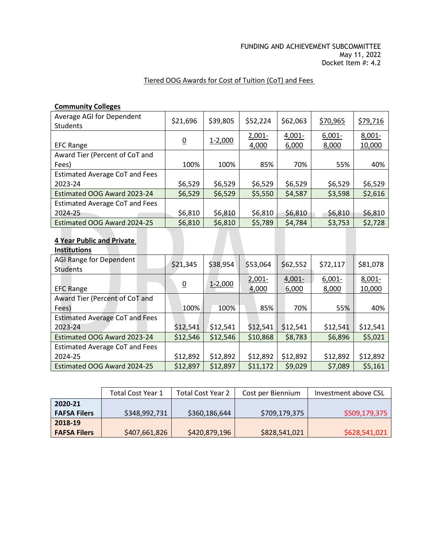### FUNDING AND ACHIEVEMENT SUBCOMMITTEE May 11, 2022 Docket Item #: 4.2

# Tiered OOG Awards for Cost of Tuition (CoT) and Fees

## **Community Colleges**

| Average AGI for Dependent<br><b>Students</b> | \$21,696 | \$39,805    | \$52,224  | \$62,063  | \$70,965  | \$79,716  |
|----------------------------------------------|----------|-------------|-----------|-----------|-----------|-----------|
|                                              |          |             | $2,001 -$ | $4,001 -$ | $6,001 -$ | $8,001 -$ |
| <b>EFC Range</b>                             | <u>0</u> | $1 - 2,000$ | 4,000     | 6,000     | 8,000     | 10,000    |
| Award Tier (Percent of CoT and               |          |             |           |           |           |           |
| Fees)                                        | 100%     | 100%        | 85%       | 70%       | 55%       | 40%       |
| <b>Estimated Average CoT and Fees</b>        |          |             |           |           |           |           |
| 2023-24                                      | \$6,529  | \$6,529     | \$6,529   | \$6,529   | \$6,529   | \$6,529   |
| Estimated OOG Award 2023-24                  | \$6,529  | \$6,529     | \$5,550   | \$4,587   | \$3,598   | \$2,616   |
| Estimated Average CoT and Fees               |          |             |           |           |           |           |
| 2024-25                                      | \$6,810  | \$6,810     | \$6,810   | \$6,810   | \$6,810   | \$6,810   |
| Estimated OOG Award 2024-25                  | \$6,810  | \$6,810     | \$5,789   | \$4,784   | \$3,753   | \$2,728   |

# **4 Year Public and Private**

# **Institutions**

| <b>AGI Range for Dependent</b><br><b>Students</b> | \$21,345       | \$38,954    | \$53,064           | \$62,552           | \$72,117           | \$81,078            |
|---------------------------------------------------|----------------|-------------|--------------------|--------------------|--------------------|---------------------|
| <b>EFC Range</b>                                  | $\overline{0}$ | $1 - 2,000$ | $2,001 -$<br>4,000 | $4,001 -$<br>6,000 | $6,001 -$<br>8,000 | $8,001 -$<br>10,000 |
| Award Tier (Percent of CoT and                    |                |             |                    |                    |                    |                     |
| Fees)                                             | 100%           | 100%        | 85%                | 70%                | 55%                | 40%                 |
| <b>Estimated Average CoT and Fees</b>             |                |             |                    |                    |                    |                     |
| 2023-24                                           | \$12,541       | \$12,541    | \$12,541           | \$12,541           | \$12,541           | \$12,541            |
| Estimated OOG Award 2023-24                       | \$12,546       | \$12,546    | \$10,868           | \$8,783            | \$6,896            | \$5,021             |
| <b>Estimated Average CoT and Fees</b>             |                |             |                    |                    |                    |                     |
| 2024-25                                           | \$12,892       | \$12,892    | \$12,892           | \$12,892           | \$12,892           | \$12,892            |
| Estimated OOG Award 2024-25                       | \$12,897       | \$12,897    | \$11,172           | \$9,029            | \$7,089            | \$5,161             |

|                     | Total Cost Year 1 | Total Cost Year 2 | Cost per Biennium | Investment above CSL |
|---------------------|-------------------|-------------------|-------------------|----------------------|
| 2020-21             |                   |                   |                   |                      |
| <b>FAFSA Filers</b> | \$348,992,731     | \$360,186,644     | \$709,179,375     | \$509,179,375        |
| 2018-19             |                   |                   |                   |                      |
| <b>FAFSA Filers</b> | \$407,661,826     | \$420,879,196     | \$828,541,021     | \$628,541,021        |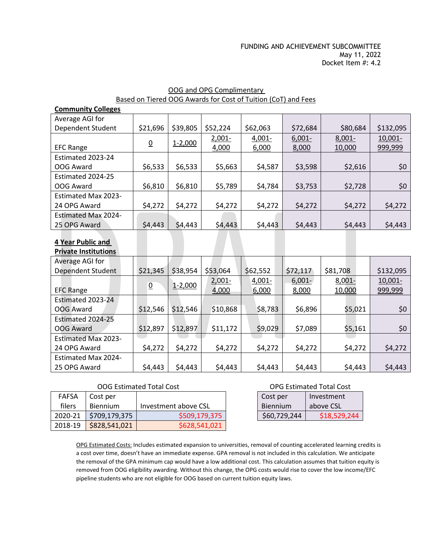#### FUNDING AND ACHIEVEMENT SUBCOMMITTEE May 11, 2022 Docket Item #: 4.2

# OOG and OPG Complimentary Based on Tiered OOG Awards for Cost of Tuition (CoT) and Fees

| <b>Community Colleges</b>  |                 |             |           |           |           |           |            |
|----------------------------|-----------------|-------------|-----------|-----------|-----------|-----------|------------|
| Average AGI for            |                 |             |           |           |           |           |            |
| Dependent Student          | \$21,696        | \$39,805    | \$52,224  | \$62,063  | \$72,684  | \$80,684  | \$132,095  |
|                            |                 | $1 - 2,000$ | $2,001 -$ | $4,001 -$ | $6,001 -$ | $8,001 -$ | $10,001 -$ |
| <b>EFC Range</b>           | $\underline{0}$ |             | 4,000     | 6,000     | 8,000     | 10,000    | 999,999    |
| Estimated 2023-24          |                 |             |           |           |           |           |            |
| OOG Award                  | \$6,533         | \$6,533     | \$5,663   | \$4,587   | \$3,598   | \$2,616   | \$0        |
| Estimated 2024-25          |                 |             |           |           |           |           |            |
| OOG Award                  | \$6,810         | \$6,810     | \$5,789   | \$4,784   | \$3,753   | \$2,728   | \$0        |
| <b>Estimated Max 2023-</b> |                 |             |           |           |           |           |            |
| 24 OPG Award               | \$4,272         | \$4,272     | \$4,272   | \$4,272   | \$4,272   | \$4,272   | \$4,272    |
| <b>Estimated Max 2024-</b> |                 |             |           |           |           |           |            |
| 25 OPG Award               | \$4,443         | \$4,443     | \$4,443   | \$4,443   | \$4,443   | \$4,443   | \$4,443    |

### **4 Year Public and Private Institutions**

| Average AGI for            |                |             |           |           |           |           |           |
|----------------------------|----------------|-------------|-----------|-----------|-----------|-----------|-----------|
| Dependent Student          | \$21,345       | \$38,954    | \$53,064  | \$62,552  | \$72,117  | \$81,708  | \$132,095 |
|                            |                |             | $2,001 -$ | $4,001 -$ | $6,001 -$ | $8,001 -$ | 10,001-   |
| <b>EFC Range</b>           | $\overline{0}$ | $1 - 2,000$ | 4,000     | 6,000     | 8,000     | 10,000    | 999,999   |
| Estimated 2023-24          |                |             |           |           |           |           |           |
| OOG Award                  | \$12,546       | \$12,546    | \$10,868  | \$8,783   | \$6,896   | \$5,021   | \$0       |
| Estimated 2024-25          |                |             |           |           |           |           |           |
| OOG Award                  | \$12,897       | \$12,897    | \$11,172  | \$9,029   | \$7,089   | \$5,161   | \$0       |
| <b>Estimated Max 2023-</b> |                |             |           |           |           |           |           |
| 24 OPG Award               | \$4,272        | \$4,272     | \$4,272   | \$4,272   | \$4,272   | \$4,272   | \$4,272   |
| <b>Estimated Max 2024-</b> |                |             |           |           |           |           |           |
| 25 OPG Award               | \$4,443        | \$4,443     | \$4,443   | \$4,443   | \$4,443   | \$4,443   | \$4,443   |

| <b>FAFSA</b> | Cost per                    |                      | Cost per     | Investment   |
|--------------|-----------------------------|----------------------|--------------|--------------|
| filers       | <b>Biennium</b>             | Investment above CSL | Biennium     | above CSL    |
| 2020-21      | $\frac{1}{2}$ \$709,179,375 | \$509,179,375        | \$60,729,244 | \$18,529,244 |
| 2018-19      | \$828,541,021               | \$628,541,021        |              |              |

## OOG Estimated Total Cost OPG Estimated Total Cost

| Cost per     | Investment   |
|--------------|--------------|
| Biennium     | above CSL    |
| \$60,729,244 | \$18,529,244 |

OPG Estimated Costs: Includes estimated expansion to universities, removal of counting accelerated learning credits is a cost over time, doesn't have an immediate expense. GPA removal is not included in this calculation. We anticipate the removal of the GPA minimum cap would have a low additional cost. This calculation assumes that tuition equity is removed from OOG eligibility awarding. Without this change, the OPG costs would rise to cover the low income/EFC pipeline students who are not eligible for OOG based on current tuition equity laws.